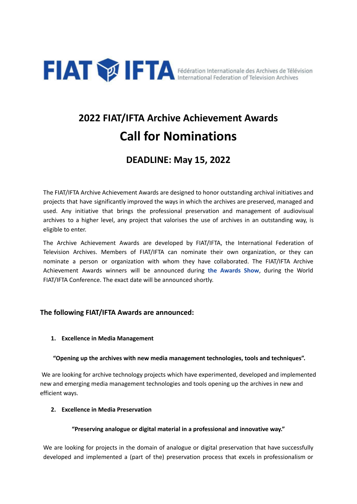

# **2022 FIAT/IFTA Archive Achievement Awards Call for Nominations**

# **DEADLINE: May 15, 2022**

The FIAT/IFTA Archive Achievement Awards are designed to honor outstanding archival initiatives and projects that have significantly improved the ways in which the archives are preserved, managed and used. Any initiative that brings the professional preservation and management of audiovisual archives to a higher level, any project that valorises the use of archives in an outstanding way, is eligible to enter.

The Archive Achievement Awards are developed by FIAT/IFTA, the International Federation of Television Archives. Members of FIAT/IFTA can nominate their own organization, or they can nominate a person or organization with whom they have collaborated. The FIAT/IFTA Archive Achievement Awards winners will be announced during **the Awards Show**, during the World FIAT/IFTA Conference. The exact date will be announced shortly.

# **The following FIAT/IFTA Awards are announced:**

# **1. Excellence in Media Management**

# **"Opening up the archives with new media management technologies, tools and techniques".**

We are looking for archive technology projects which have experimented, developed and implemented new and emerging media management technologies and tools opening up the archives in new and efficient ways.

# **2. Excellence in Media Preservation**

# **"Preserving analogue or digital material in a professional and innovative way."**

We are looking for projects in the domain of analogue or digital preservation that have successfully developed and implemented a (part of the) preservation process that excels in professionalism or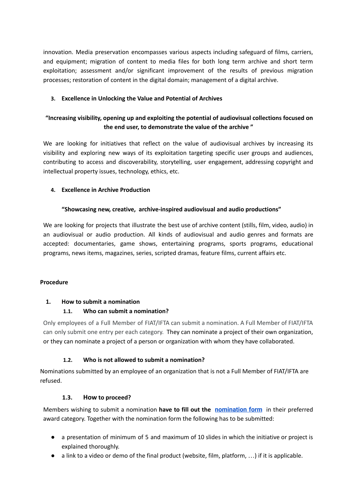innovation. Media preservation encompasses various aspects including safeguard of films, carriers, and equipment; migration of content to media files for both long term archive and short term exploitation; assessment and/or significant improvement of the results of previous migration processes; restoration of content in the digital domain; management of a digital archive.

# **3. Excellence in Unlocking the Value and Potential of Archives**

# **"Increasing visibility, opening up and exploiting the potential of audiovisual collections focused on the end user, to demonstrate the value of the archive "**

We are looking for initiatives that reflect on the value of audiovisual archives by increasing its visibility and exploring new ways of its exploitation targeting specific user groups and audiences, contributing to access and discoverability, storytelling, user engagement, addressing copyright and intellectual property issues, technology, ethics, etc.

# **4. Excellence in Archive Production**

#### **"Showcasing new, creative, archive-inspired audiovisual and audio productions"**

We are looking for projects that illustrate the best use of archive content (stills, film, video, audio) in an audiovisual or audio production. All kinds of audiovisual and audio genres and formats are accepted: documentaries, game shows, entertaining programs, sports programs, educational programs, news items, magazines, series, scripted dramas, feature films, current affairs etc.

#### **Procedure**

# **1. How to submit a nomination**

#### **1.1. Who can submit a nomination?**

Only employees of a Full Member of FIAT/IFTA can submit a nomination. A Full Member of FIAT/IFTA can only submit one entry per each category. They can nominate a project of their own organization, or they can nominate a project of a person or organization with whom they have collaborated.

#### **1.2. Who is not allowed to submit a nomination?**

Nominations submitted by an employee of an organization that is not a Full Member of FIAT/IFTA are refused.

#### **1.3. How to proceed?**

Members wishing to submit a nomination **have to fill out the [nomination](https://protect-eu.mimecast.com/s/udnZCkollfP14NEiVAdfx?domain=google.com) form** in their preferred award category. Together with the nomination form the following has to be submitted:

- a presentation of minimum of 5 and maximum of 10 slides in which the initiative or project is explained thoroughly.
- a link to a video or demo of the final product (website, film, platform, …) if it is applicable.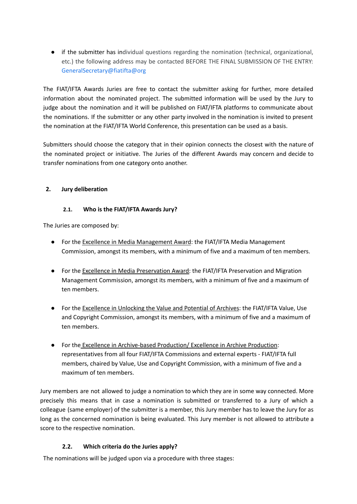● if the submitter has individual questions regarding the nomination (technical, organizational, etc.) the following address may be contacted BEFORE THE FINAL SUBMISSION OF THE ENTRY: GeneralSecretary@fiatifta@org

The FIAT/IFTA Awards Juries are free to contact the submitter asking for further, more detailed information about the nominated project. The submitted information will be used by the Jury to judge about the nomination and it will be published on FIAT/IFTA platforms to communicate about the nominations. If the submitter or any other party involved in the nomination is invited to present the nomination at the FIAT/IFTA World Conference, this presentation can be used as a basis.

Submitters should choose the category that in their opinion connects the closest with the nature of the nominated project or initiative. The Juries of the different Awards may concern and decide to transfer nominations from one category onto another.

# **2. Jury deliberation**

#### **2.1. Who is the FIAT/IFTA Awards Jury?**

The Juries are composed by:

- For the Excellence in Media Management Award: the FIAT/IFTA Media Management Commission, amongst its members, with a minimum of five and a maximum of ten members.
- For the Excellence in Media Preservation Award: the FIAT/IFTA Preservation and Migration Management Commission, amongst its members, with a minimum of five and a maximum of ten members.
- For the Excellence in Unlocking the Value and Potential of Archives: the FIAT/IFTA Value, Use and Copyright Commission, amongst its members, with a minimum of five and a maximum of ten members.
- For the Excellence in Archive-based Production/ Excellence in Archive Production: representatives from all four FIAT/IFTA Commissions and external experts - FIAT/IFTA full members, chaired by Value, Use and Copyright Commission, with a minimum of five and a maximum of ten members.

Jury members are not allowed to judge a nomination to which they are in some way connected. More precisely this means that in case a nomination is submitted or transferred to a Jury of which a colleague (same employer) of the submitter is a member, this Jury member has to leave the Jury for as long as the concerned nomination is being evaluated. This Jury member is not allowed to attribute a score to the respective nomination.

# **2.2. Which criteria do the Juries apply?**

The nominations will be judged upon via a procedure with three stages: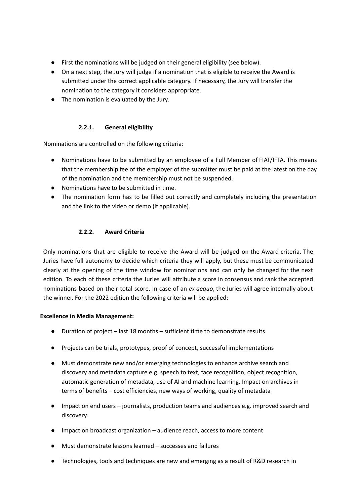- First the nominations will be judged on their general eligibility (see below).
- On a next step, the Jury will judge if a nomination that is eligible to receive the Award is submitted under the correct applicable category. If necessary, the Jury will transfer the nomination to the category it considers appropriate.
- The nomination is evaluated by the Jury.

# **2.2.1. General eligibility**

Nominations are controlled on the following criteria:

- Nominations have to be submitted by an employee of a Full Member of FIAT/IFTA. This means that the membership fee of the employer of the submitter must be paid at the latest on the day of the nomination and the membership must not be suspended.
- Nominations have to be submitted in time.
- The nomination form has to be filled out correctly and completely including the presentation and the link to the video or demo (if applicable).

# **2.2.2. Award Criteria**

Only nominations that are eligible to receive the Award will be judged on the Award criteria. The Juries have full autonomy to decide which criteria they will apply, but these must be communicated clearly at the opening of the time window for nominations and can only be changed for the next edition. To each of these criteria the Juries will attribute a score in consensus and rank the accepted nominations based on their total score. In case of an *ex aequo*, the Juries will agree internally about the winner. For the 2022 edition the following criteria will be applied:

# **Excellence in Media Management:**

- Duration of project last 18 months sufficient time to demonstrate results
- Projects can be trials, prototypes, proof of concept, successful implementations
- Must demonstrate new and/or emerging technologies to enhance archive search and discovery and metadata capture e.g. speech to text, face recognition, object recognition, automatic generation of metadata, use of AI and machine learning. Impact on archives in terms of benefits – cost efficiencies, new ways of working, quality of metadata
- Impact on end users journalists, production teams and audiences e.g. improved search and discovery
- Impact on broadcast organization audience reach, access to more content
- Must demonstrate lessons learned successes and failures
- Technologies, tools and techniques are new and emerging as a result of R&D research in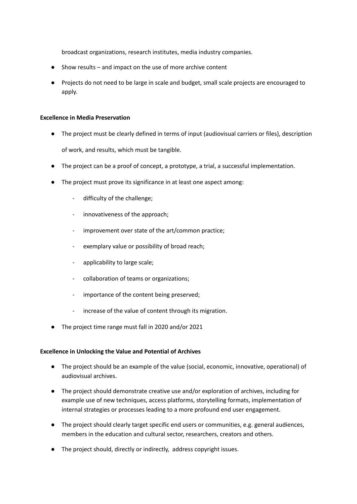broadcast organizations, research institutes, media industry companies.

- Show results  $-$  and impact on the use of more archive content
- Projects do not need to be large in scale and budget, small scale projects are encouraged to apply.

#### **Excellence in Media Preservation**

- The project must be clearly defined in terms of input (audiovisual carriers or files), description of work, and results, which must be tangible.
- The project can be a proof of concept, a prototype, a trial, a successful implementation.
- The project must prove its significance in at least one aspect among:
	- difficulty of the challenge;
	- innovativeness of the approach;
	- improvement over state of the art/common practice;
	- exemplary value or possibility of broad reach;
	- applicability to large scale;
	- collaboration of teams or organizations;
	- importance of the content being preserved;
	- increase of the value of content through its migration.
- The project time range must fall in 2020 and/or 2021

#### **Excellence in Unlocking the Value and Potential of Archives**

- The project should be an example of the value (social, economic, innovative, operational) of audiovisual archives.
- The project should demonstrate creative use and/or exploration of archives, including for example use of new techniques, access platforms, storytelling formats, implementation of internal strategies or processes leading to a more profound end user engagement.
- The project should clearly target specific end users or communities, e.g. general audiences, members in the education and cultural sector, researchers, creators and others.
- The project should, directly or indirectly, address copyright issues.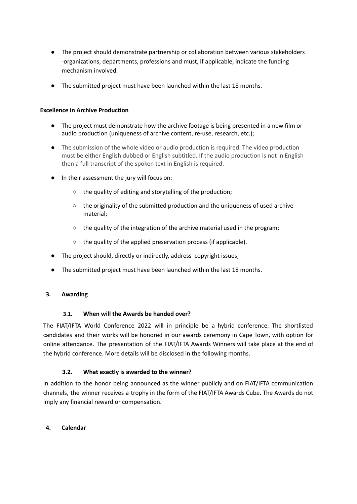- The project should demonstrate partnership or collaboration between various stakeholders -organizations, departments, professions and must, if applicable, indicate the funding mechanism involved.
- The submitted project must have been launched within the last 18 months.

### **Excellence in Archive Production**

- The project must demonstrate how the archive footage is being presented in a new film or audio production (uniqueness of archive content, re-use, research, etc.);
- The submission of the whole video or audio production is required. The video production must be either English dubbed or English subtitled. If the audio production is not in English then a full transcript of the spoken text in English is required.
- In their assessment the jury will focus on:
	- the quality of editing and storytelling of the production;
	- the originality of the submitted production and the uniqueness of used archive material;
	- the quality of the integration of the archive material used in the program;
	- the quality of the applied preservation process (if applicable).
- The project should, directly or indirectly, address copyright issues;
- The submitted project must have been launched within the last 18 months.

#### **3. Awarding**

#### **3.1. When will the Awards be handed over?**

The FIAT/IFTA World Conference 2022 will in principle be a hybrid conference. The shortlisted candidates and their works will be honored in our awards ceremony in Cape Town, with option for online attendance. The presentation of the FIAT/IFTA Awards Winners will take place at the end of the hybrid conference. More details will be disclosed in the following months.

# **3.2. What exactly is awarded to the winner?**

In addition to the honor being announced as the winner publicly and on FIAT/IFTA communication channels, the winner receives a trophy in the form of the FIAT/IFTA Awards Cube. The Awards do not imply any financial reward or compensation.

#### **4. Calendar**